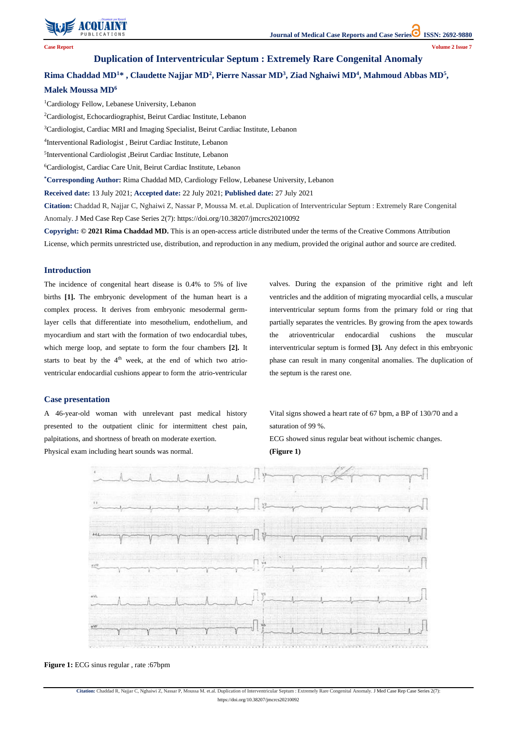

**Citation:** Chaddad R, Najjar C, Nghaiwi Z, Nassar P, Moussa M. et.al. Duplication of Interventricular Septum : Extremely Rare Congenital Anomaly. J Med Case Rep Case Series 2(7):

https://doi.org/10.38207/jmcrcs20210092

**Case Report Volume 2 Issue 7**

# **Duplication of Interventricular Septum : Extremely Rare Congenital Anomaly**

# **Rima Chaddad MD<sup>1</sup>\* , Claudette Najjar MD<sup>2</sup> , Pierre Nassar MD<sup>3</sup> , Ziad Nghaiwi MD<sup>4</sup> , Mahmoud Abbas MD<sup>5</sup> ,**

### **Malek Moussa MD<sup>6</sup>**

<sup>1</sup>Cardiology Fellow, Lebanese University, Lebanon <sup>2</sup>Cardiologist, Echocardiographist, Beirut Cardiac Institute, Lebanon <sup>3</sup>Cardiologist, Cardiac MRI and Imaging Specialist, Beirut Cardiac Institute, Lebanon 4 Interventional Radiologist , Beirut Cardiac Institute, Lebanon 5 Interventional Cardiologist ,Beirut Cardiac Institute, Lebanon <sup>6</sup>Cardiologist, Cardiac Care Unit, Beirut Cardiac Institute, Lebanon **\*Corresponding Author:** Rima Chaddad MD, Cardiology Fellow, Lebanese University, Lebanon **Received date:** 13 July 2021; **Accepted date:** 22 July 2021; **Published date:** 27 July 2021 **Citation:** Chaddad R, Najjar C, Nghaiwi Z, Nassar P, Moussa M. et.al. Duplication of Interventricular Septum : Extremely Rare Congenital Anomaly. J Med Case Rep Case Series 2(7): https://doi.org/10.38207/jmcrcs20210092 **Copyright: © 2021 Rima Chaddad MD.** This is an open-access article distributed under the terms of the Creative Commons Attribution License, which permits unrestricted use, distribution, and reproduction in any medium, provided the original author and source are credited.

#### **Introduction**

The incidence of congenital heart disease is 0.4% to 5% of live births **[1].** The embryonic development of the human heart is a complex process. It derives from embryonic mesodermal germlayer cells that differentiate into mesothelium, endothelium, and myocardium and start with the formation of two endocardial tubes, which merge loop, and septate to form the four chambers **[2].** It starts to beat by the  $4<sup>th</sup>$  week, at the end of which two atrioventricular endocardial cushions appear to form the atrio-ventricular valves. During the expansion of the primitive right and left ventricles and the addition of migrating myocardial cells, a muscular interventricular septum forms from the primary fold or ring that partially separates the ventricles. By growing from the apex towards the atrioventricular endocardial cushions the muscular interventricular septum is formed **[3].** Any defect in this embryonic phase can result in many congenital anomalies. The duplication of the septum is the rarest one.

## **Case presentation**

A 46-year-old woman with unrelevant past medical history presented to the outpatient clinic for intermittent chest pain, palpitations, and shortness of breath on moderate exertion. Physical exam including heart sounds was normal.

Vital signs showed a heart rate of 67 bpm, a BP of 130/70 and a saturation of 99 %. ECG showed sinus regular beat without ischemic changes.

**(Figure 1)**





**Figure 1:** ECG sinus regular , rate :67bpm